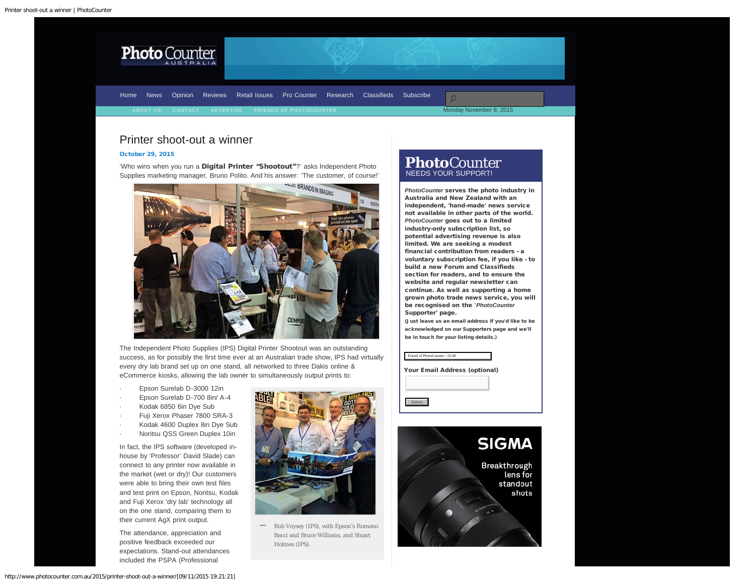<span id="page-0-0"></span>

[Home](http://www.photocounter.com.au/) [News](http://www.photocounter.com.au/category/news/) [Opinion](http://www.photocounter.com.au/category/opinion/) [Reviews](http://www.photoreview.com.au/reviews/) [Retail Issues](http://www.photocounter.com.au/category/retail-issues/) [Pro Counter](http://procounter.com.au/) [Research](http://www.photocounter.com.au/category/research/) [Classifieds](http://www.photocounter.com.au/category/classifieds/) [Subscribe](http://www.photocounter.com.au/subscribe/)

Monday November 9, 2015

# Printer shoot-out a winner

## [October 29, 2015](#page-0-0)

'Who wins when you run a Digital Printer "Shootout"?' asks Independent Photo



The Independent Photo Supplies (IPS) Digital Printer Shootout was an outstanding success, as for possibly the first time ever at an Australian trade show, IPS had virtually every dry lab brand set up on one stand, all networked to three Dakis online & eCommerce kiosks, allowing the lab owner to simultaneously output prints to:

- Epson Surelab D-3000 12in
- Epson Surelab D-700 8in/ A-4
- Kodak 6850 6in Dye Sub
- Fuji Xerox Phaser 7800 SRA-3
- Kodak 4600 Duplex 8in Dye Sub
- Noritsu QSS Green Duplex 10in

In fact, the IPS software (developed inhouse by 'Professor' David Slade) can connect to any printer now available in the market (wet or dry)! Our customers were able to bring their own test files and test print on Epson, Noritsu, Kodak and Fuji Xerox 'dry lab' technology all on the one stand, comparing them to their current AgX print output.

The attendance, appreciation and positive feedback exceeded our expectations. Stand-out attendances included the PSPA (Professional



Rob Voysey (IPS), with Epson's Romano Bacci and Bruce Williams, and Stuart Holmes (IPS). **—**

# **Photo**Counter NEEDS YOUR SUPPORT!

*PhotoCounter* serves the photo industry in Australia and New Zealand with an independent, 'hand-made' news service not available in other parts of the world. *PhotoCounter* goes out to a limited industry-only subscription list, so potential advertising revenue is also limited. We are seeking a modest financial contribution from readers - a voluntary subscription fee, if you like - to build a new Forum and Classifieds section for readers, and to ensure the website and regular newsletter can continue. As well as supporting a home grown photo trade news service, you will be recognised on the '*PhotoCounter* Supporter' page.

(Just leave us an email address if you'd like to be acknowledged on our Supporters page and we'll be in touch for your listing details.)

| Friend of PhotoCounter - 55.00 |
|--------------------------------|
| Your Email Address (optional)  |
|                                |
| Submit                         |

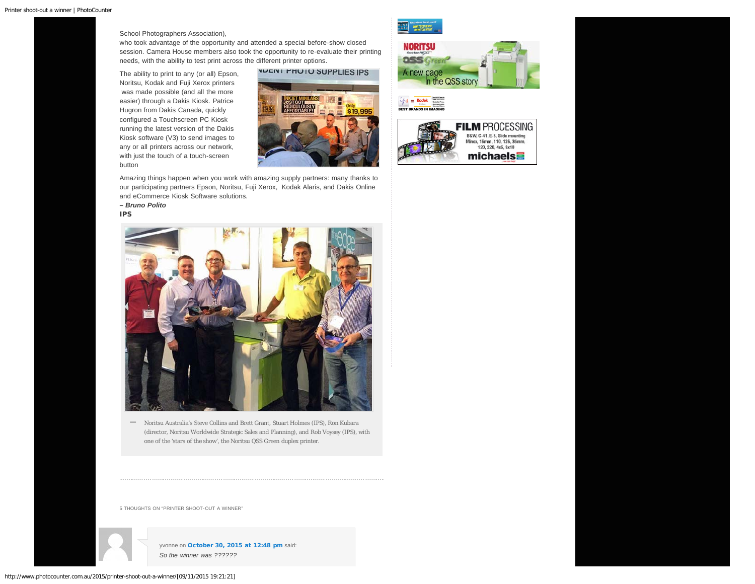School Photographers Association),

who took advantage of the opportunity and attended a special before-show closed session. Camera House members also took the opportunity to re-evaluate their printing needs, with the ability to test print across the different printer options.

The ability to print to any (or all) Epson, Noritsu, Kodak and Fuji Xerox printers was made possible (and all the more easier) through a Dakis Kiosk. Patrice Hugron from Dakis Canada, quickly configured a Touchscreen PC Kiosk running the latest version of the Dakis Kiosk software (V3) to send images to any or all printers across our network, with just the touch of a touch-screen button



Amazing things happen when you work with amazing supply partners: many thanks to our participating partners Epson, Noritsu, Fuji Xerox, Kodak Alaris, and Dakis Online and eCommerce Kiosk Software solutions.

*– Bruno Polito* IPS



Noritsu Australia's Steve Collins and Brett Grant, Stuart Holmes (IPS), Ron Kubara (director, Noritsu Worldwide Strategic Sales and Planning), and Rob Voysey (IPS), with one of the 'stars of the show', the Noritsu QSS Green duplex printer. **—**

5 THOUGHTS ON "PRINTER SHOOT-OUT A WINNER"



yvonne on [October 30, 2015 at 12:48 pm](#page-2-0) said: *So the winner was ??????*